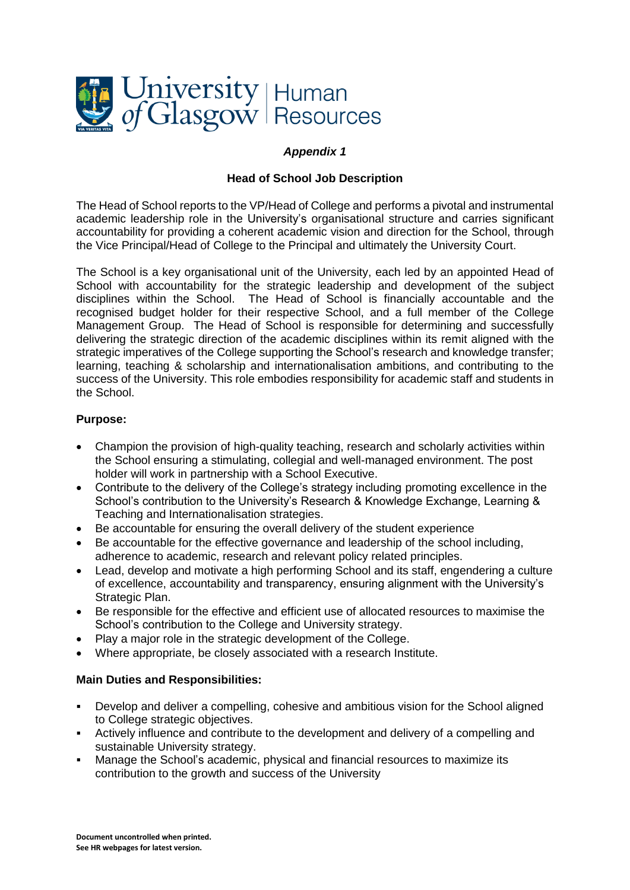

# *Appendix 1*

#### **Head of School Job Description**

The Head of School reports to the VP/Head of College and performs a pivotal and instrumental academic leadership role in the University's organisational structure and carries significant accountability for providing a coherent academic vision and direction for the School, through the Vice Principal/Head of College to the Principal and ultimately the University Court.

The School is a key organisational unit of the University, each led by an appointed Head of School with accountability for the strategic leadership and development of the subject disciplines within the School. The Head of School is financially accountable and the recognised budget holder for their respective School, and a full member of the College Management Group. The Head of School is responsible for determining and successfully delivering the strategic direction of the academic disciplines within its remit aligned with the strategic imperatives of the College supporting the School's research and knowledge transfer; learning, teaching & scholarship and internationalisation ambitions, and contributing to the success of the University. This role embodies responsibility for academic staff and students in the School.

#### **Purpose:**

- Champion the provision of high-quality teaching, research and scholarly activities within the School ensuring a stimulating, collegial and well-managed environment. The post holder will work in partnership with a School Executive.
- Contribute to the delivery of the College's strategy including promoting excellence in the School's contribution to the University's Research & Knowledge Exchange, Learning & Teaching and Internationalisation strategies.
- Be accountable for ensuring the overall delivery of the student experience
- Be accountable for the effective governance and leadership of the school including, adherence to academic, research and relevant policy related principles.
- Lead, develop and motivate a high performing School and its staff, engendering a culture of excellence, accountability and transparency, ensuring alignment with the University's Strategic Plan.
- Be responsible for the effective and efficient use of allocated resources to maximise the School's contribution to the College and University strategy.
- Play a major role in the strategic development of the College.
- Where appropriate, be closely associated with a research Institute.

# **Main Duties and Responsibilities:**

- Develop and deliver a compelling, cohesive and ambitious vision for the School aligned to College strategic objectives.
- **EXECT** Actively influence and contribute to the development and delivery of a compelling and sustainable University strategy.
- Manage the School's academic, physical and financial resources to maximize its contribution to the growth and success of the University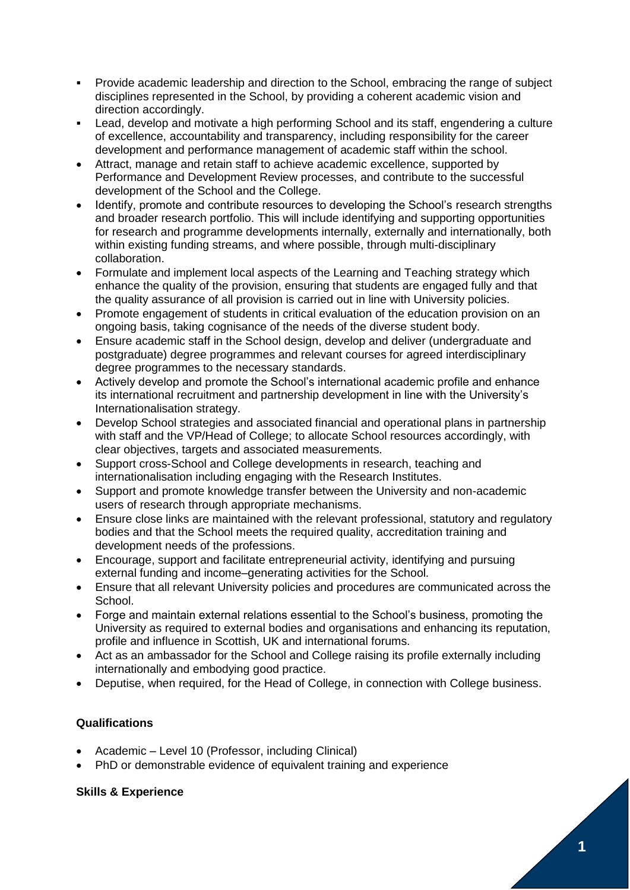- Provide academic leadership and direction to the School, embracing the range of subject disciplines represented in the School, by providing a coherent academic vision and direction accordingly.
- Lead, develop and motivate a high performing School and its staff, engendering a culture of excellence, accountability and transparency, including responsibility for the career development and performance management of academic staff within the school.
- Attract, manage and retain staff to achieve academic excellence, supported by Performance and Development Review processes, and contribute to the successful development of the School and the College.
- Identify, promote and contribute resources to developing the School's research strengths and broader research portfolio. This will include identifying and supporting opportunities for research and programme developments internally, externally and internationally, both within existing funding streams, and where possible, through multi-disciplinary collaboration.
- Formulate and implement local aspects of the Learning and Teaching strategy which enhance the quality of the provision, ensuring that students are engaged fully and that the quality assurance of all provision is carried out in line with University policies.
- Promote engagement of students in critical evaluation of the education provision on an ongoing basis, taking cognisance of the needs of the diverse student body.
- Ensure academic staff in the School design, develop and deliver (undergraduate and postgraduate) degree programmes and relevant courses for agreed interdisciplinary degree programmes to the necessary standards.
- Actively develop and promote the School's international academic profile and enhance its international recruitment and partnership development in line with the University's Internationalisation strategy.
- Develop School strategies and associated financial and operational plans in partnership with staff and the VP/Head of College; to allocate School resources accordingly, with clear objectives, targets and associated measurements.
- Support cross-School and College developments in research, teaching and internationalisation including engaging with the Research Institutes.
- Support and promote knowledge transfer between the University and non-academic users of research through appropriate mechanisms.
- Ensure close links are maintained with the relevant professional, statutory and regulatory bodies and that the School meets the required quality, accreditation training and development needs of the professions.
- Encourage, support and facilitate entrepreneurial activity, identifying and pursuing external funding and income–generating activities for the School.
- Ensure that all relevant University policies and procedures are communicated across the School.
- Forge and maintain external relations essential to the School's business, promoting the University as required to external bodies and organisations and enhancing its reputation, profile and influence in Scottish, UK and international forums.
- Act as an ambassador for the School and College raising its profile externally including internationally and embodying good practice.
- Deputise, when required, for the Head of College, in connection with College business.

# **Qualifications**

- Academic Level 10 (Professor, including Clinical)
- PhD or demonstrable evidence of equivalent training and experience

# **Skills & Experience**